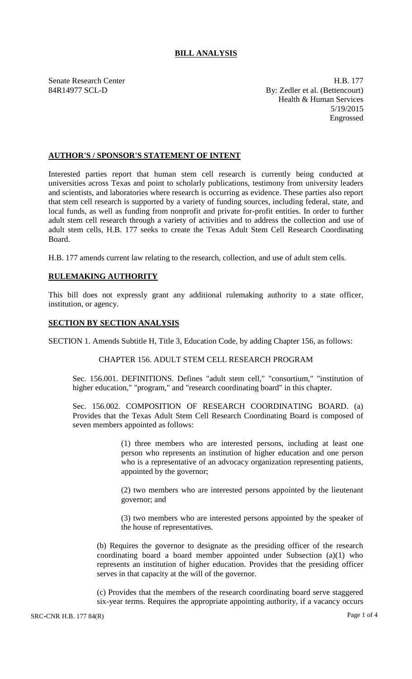# **BILL ANALYSIS**

Senate Research Center **H.B. 177** 84R14977 SCL-D By: Zedler et al. (Bettencourt) Health & Human Services 5/19/2015 Engrossed

## **AUTHOR'S / SPONSOR'S STATEMENT OF INTENT**

Interested parties report that human stem cell research is currently being conducted at universities across Texas and point to scholarly publications, testimony from university leaders and scientists, and laboratories where research is occurring as evidence. These parties also report that stem cell research is supported by a variety of funding sources, including federal, state, and local funds, as well as funding from nonprofit and private for-profit entities. In order to further adult stem cell research through a variety of activities and to address the collection and use of adult stem cells, H.B. 177 seeks to create the Texas Adult Stem Cell Research Coordinating Board.

H.B. 177 amends current law relating to the research, collection, and use of adult stem cells.

## **RULEMAKING AUTHORITY**

This bill does not expressly grant any additional rulemaking authority to a state officer, institution, or agency.

### **SECTION BY SECTION ANALYSIS**

SECTION 1. Amends Subtitle H, Title 3, Education Code, by adding Chapter 156, as follows:

#### CHAPTER 156. ADULT STEM CELL RESEARCH PROGRAM

Sec. 156.001. DEFINITIONS. Defines "adult stem cell," "consortium," "institution of higher education," "program," and "research coordinating board" in this chapter.

Sec. 156.002. COMPOSITION OF RESEARCH COORDINATING BOARD. (a) Provides that the Texas Adult Stem Cell Research Coordinating Board is composed of seven members appointed as follows:

> (1) three members who are interested persons, including at least one person who represents an institution of higher education and one person who is a representative of an advocacy organization representing patients, appointed by the governor;

> (2) two members who are interested persons appointed by the lieutenant governor; and

> (3) two members who are interested persons appointed by the speaker of the house of representatives.

(b) Requires the governor to designate as the presiding officer of the research coordinating board a board member appointed under Subsection (a)(1) who represents an institution of higher education. Provides that the presiding officer serves in that capacity at the will of the governor.

(c) Provides that the members of the research coordinating board serve staggered six-year terms. Requires the appropriate appointing authority, if a vacancy occurs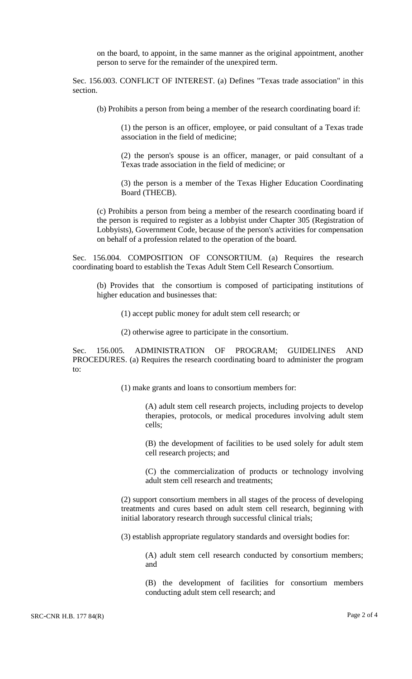on the board, to appoint, in the same manner as the original appointment, another person to serve for the remainder of the unexpired term.

Sec. 156.003. CONFLICT OF INTEREST. (a) Defines "Texas trade association" in this section.

(b) Prohibits a person from being a member of the research coordinating board if:

(1) the person is an officer, employee, or paid consultant of a Texas trade association in the field of medicine;

(2) the person's spouse is an officer, manager, or paid consultant of a Texas trade association in the field of medicine; or

(3) the person is a member of the Texas Higher Education Coordinating Board (THECB).

(c) Prohibits a person from being a member of the research coordinating board if the person is required to register as a lobbyist under Chapter 305 (Registration of Lobbyists), Government Code, because of the person's activities for compensation on behalf of a profession related to the operation of the board.

Sec. 156.004. COMPOSITION OF CONSORTIUM. (a) Requires the research coordinating board to establish the Texas Adult Stem Cell Research Consortium.

(b) Provides that the consortium is composed of participating institutions of higher education and businesses that:

(1) accept public money for adult stem cell research; or

(2) otherwise agree to participate in the consortium.

Sec. 156.005. ADMINISTRATION OF PROGRAM; GUIDELINES AND PROCEDURES. (a) Requires the research coordinating board to administer the program to:

(1) make grants and loans to consortium members for:

(A) adult stem cell research projects, including projects to develop therapies, protocols, or medical procedures involving adult stem cells;

(B) the development of facilities to be used solely for adult stem cell research projects; and

(C) the commercialization of products or technology involving adult stem cell research and treatments;

(2) support consortium members in all stages of the process of developing treatments and cures based on adult stem cell research, beginning with initial laboratory research through successful clinical trials;

(3) establish appropriate regulatory standards and oversight bodies for:

(A) adult stem cell research conducted by consortium members; and

(B) the development of facilities for consortium members conducting adult stem cell research; and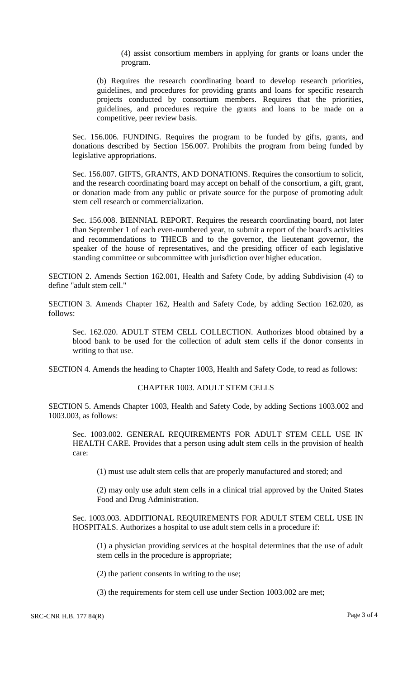(4) assist consortium members in applying for grants or loans under the program.

(b) Requires the research coordinating board to develop research priorities, guidelines, and procedures for providing grants and loans for specific research projects conducted by consortium members. Requires that the priorities, guidelines, and procedures require the grants and loans to be made on a competitive, peer review basis.

Sec. 156.006. FUNDING. Requires the program to be funded by gifts, grants, and donations described by Section 156.007. Prohibits the program from being funded by legislative appropriations.

Sec. 156.007. GIFTS, GRANTS, AND DONATIONS. Requires the consortium to solicit, and the research coordinating board may accept on behalf of the consortium, a gift, grant, or donation made from any public or private source for the purpose of promoting adult stem cell research or commercialization.

Sec. 156.008. BIENNIAL REPORT. Requires the research coordinating board, not later than September 1 of each even-numbered year, to submit a report of the board's activities and recommendations to THECB and to the governor, the lieutenant governor, the speaker of the house of representatives, and the presiding officer of each legislative standing committee or subcommittee with jurisdiction over higher education.

SECTION 2. Amends Section 162.001, Health and Safety Code, by adding Subdivision (4) to define "adult stem cell."

SECTION 3. Amends Chapter 162, Health and Safety Code, by adding Section 162.020, as follows:

Sec. 162.020. ADULT STEM CELL COLLECTION. Authorizes blood obtained by a blood bank to be used for the collection of adult stem cells if the donor consents in writing to that use.

SECTION 4. Amends the heading to Chapter 1003, Health and Safety Code, to read as follows:

## CHAPTER 1003. ADULT STEM CELLS

SECTION 5. Amends Chapter 1003, Health and Safety Code, by adding Sections 1003.002 and 1003.003, as follows:

Sec. 1003.002. GENERAL REQUIREMENTS FOR ADULT STEM CELL USE IN HEALTH CARE. Provides that a person using adult stem cells in the provision of health care:

(1) must use adult stem cells that are properly manufactured and stored; and

(2) may only use adult stem cells in a clinical trial approved by the United States Food and Drug Administration.

Sec. 1003.003. ADDITIONAL REQUIREMENTS FOR ADULT STEM CELL USE IN HOSPITALS. Authorizes a hospital to use adult stem cells in a procedure if:

(1) a physician providing services at the hospital determines that the use of adult stem cells in the procedure is appropriate;

(2) the patient consents in writing to the use;

(3) the requirements for stem cell use under Section 1003.002 are met;